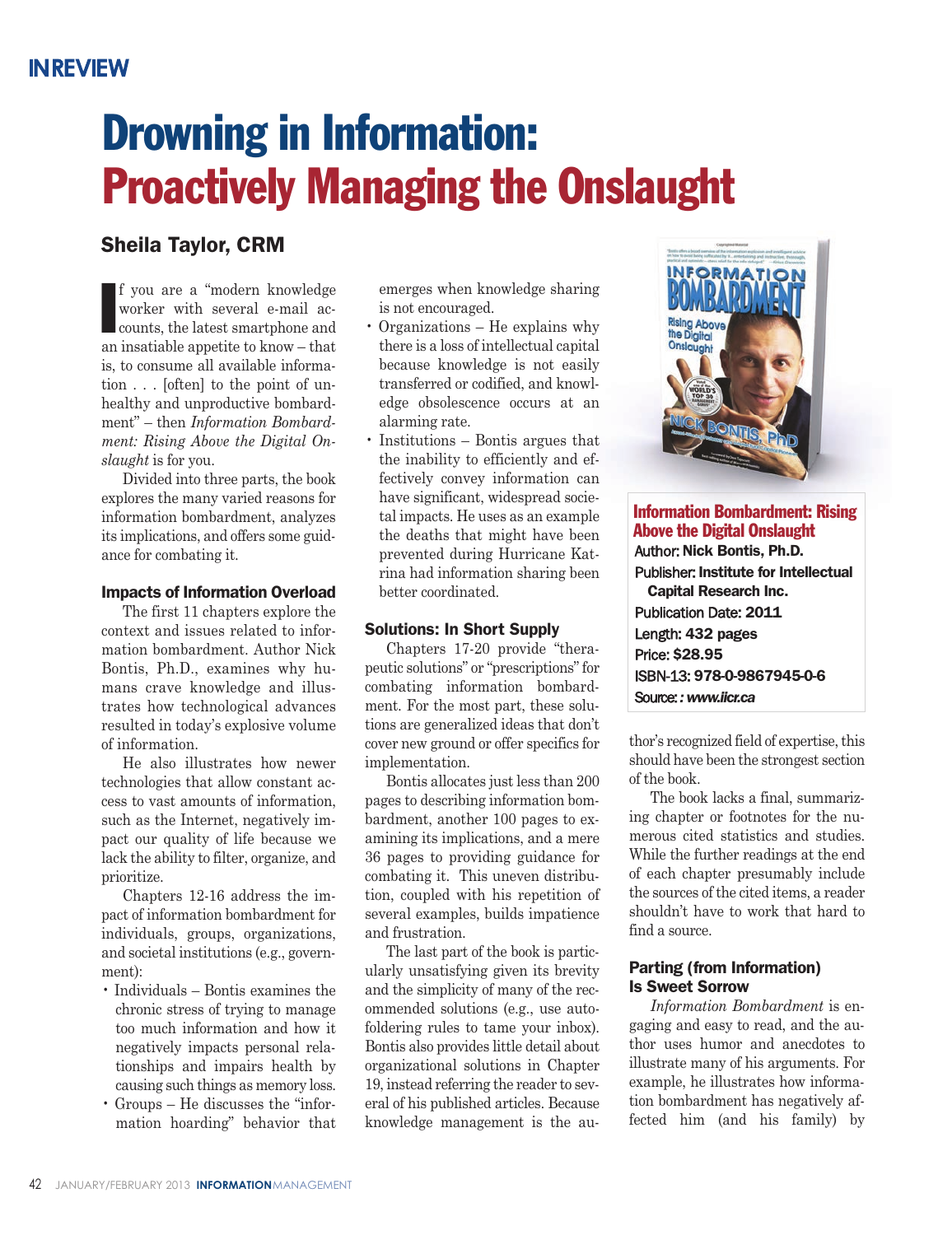# **Drowning in Information: Proactively Managing the Onslaught**

# **Sheila Taylor, CRM**

**I** f you are a "modern knowledge worker with several e-mail accounts, the latest smartphone and an insatiable appetite to know – that is, to consume all available information . . . [often] to the point of unhealthy and unproductive bombardment" – then *Information Bombardment: Rising Above the Digital Onslaught* is for you.

Divided into three parts, the book explores the many varied reasons for information bombardment, analyzes its implications, and offers some guidance for combating it.

#### **Impacts of Information Overload**

The first 11 chapters explore the context and issues related to information bombardment. Author Nick Bontis, Ph.D., examines why humans crave knowledge and illustrates how technological advances resulted in today's explosive volume of information.

He also illustrates how newer technologies that allow constant access to vast amounts of information, such as the Internet, negatively impact our quality of life because we lack the ability to filter, organize, and prioritize.

Chapters 12-16 address the impact of information bombardment for individuals, groups, organizations, and societal institutions (e.g., government):

- Individuals Bontis examines the chronic stress of trying to manage too much information and how it negatively impacts personal relationships and impairs health by causing such things as memory loss.
- Groups He discusses the "information hoarding" behavior that

emerges when knowledge sharing is not encouraged.

- Organizations He explains why there is a loss of intellectual capital because knowledge is not easily transferred or codified, and knowledge obsolescence occurs at an alarming rate.
- Institutions Bontis argues that the inability to efficiently and effectively convey information can have significant, widespread societal impacts. He uses as an example the deaths that might have been prevented during Hurricane Katrina had information sharing been better coordinated.

#### **Solutions: In Short Supply**

Chapters 17-20 provide "therapeutic solutions" or "prescriptions" for combating information bombardment. For the most part, these solutions are generalized ideas that don't cover new ground or offer specifics for implementation.

Bontis allocates just less than 200 pages to describing information bombardment, another 100 pages to examining its implications, and a mere 36 pages to providing guidance for combating it. This uneven distribution, coupled with his repetition of several examples, builds impatience and frustration.

The last part of the book is particularly unsatisfying given its brevity and the simplicity of many of the recommended solutions (e.g., use autofoldering rules to tame your inbox). Bontis also provides little detail about organizational solutions in Chapter 19, instead referring the reader to several of his published articles. Because knowledge management is the au-



## **Information Bombardment: Rising Above the Digital Onslaught** Author: **Nick Bontis, Ph.D.** Publisher: **Institute for Intellectual Capital Research Inc.** Publication Date: **2011** Length: **432 pages** Price: **\$28.95** ISBN-13: **978-0-9867945-0-6**

thor's recognized field of expertise, this should have been the strongest section

Source:*: www.iicr.ca*

of the book. The book lacks a final, summarizing chapter or footnotes for the numerous cited statistics and studies. While the further readings at the end

of each chapter presumably include the sources of the cited items, a reader shouldn't have to work that hard to find a source.

### **Parting (from Information) Is Sweet Sorrow**

*Information Bombardment* is engaging and easy to read, and the author uses humor and anecdotes to illustrate many of his arguments. For example, he illustrates how information bombardment has negatively affected him (and his family) by